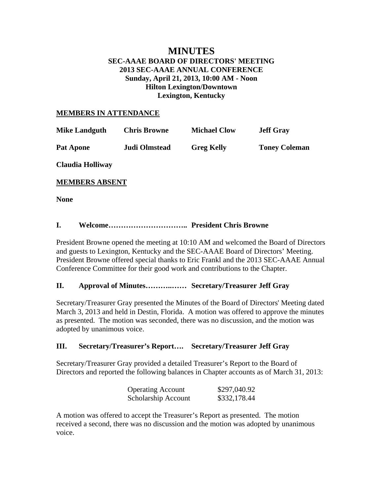## **MINUTES SEC-AAAE BOARD OF DIRECTORS' MEETING 2013 SEC-AAAE ANNUAL CONFERENCE Sunday, April 21, 2013, 10:00 AM - Noon Hilton Lexington/Downtown Lexington, Kentucky**

#### **MEMBERS IN ATTENDANCE**

| <b>Mike Landguth</b>  | <b>Chris Browne</b> | <b>Michael Clow</b> | <b>Jeff Gray</b>     |
|-----------------------|---------------------|---------------------|----------------------|
| <b>Pat Apone</b>      | Judi Olmstead       | <b>Greg Kelly</b>   | <b>Toney Coleman</b> |
| Claudia Holliway      |                     |                     |                      |
| <b>MEMBERS ABSENT</b> |                     |                     |                      |

**None** 

## **I. Welcome………………………….. President Chris Browne**

President Browne opened the meeting at 10:10 AM and welcomed the Board of Directors and guests to Lexington, Kentucky and the SEC-AAAE Board of Directors' Meeting. President Browne offered special thanks to Eric Frankl and the 2013 SEC-AAAE Annual Conference Committee for their good work and contributions to the Chapter.

### **II. Approval of Minutes………..…… Secretary/Treasurer Jeff Gray**

Secretary/Treasurer Gray presented the Minutes of the Board of Directors' Meeting dated March 3, 2013 and held in Destin, Florida. A motion was offered to approve the minutes as presented. The motion was seconded, there was no discussion, and the motion was adopted by unanimous voice.

#### **III. Secretary/Treasurer's Report…. Secretary/Treasurer Jeff Gray**

Secretary/Treasurer Gray provided a detailed Treasurer's Report to the Board of Directors and reported the following balances in Chapter accounts as of March 31, 2013:

| <b>Operating Account</b> | \$297,040.92 |
|--------------------------|--------------|
| Scholarship Account      | \$332,178.44 |

A motion was offered to accept the Treasurer's Report as presented. The motion received a second, there was no discussion and the motion was adopted by unanimous voice.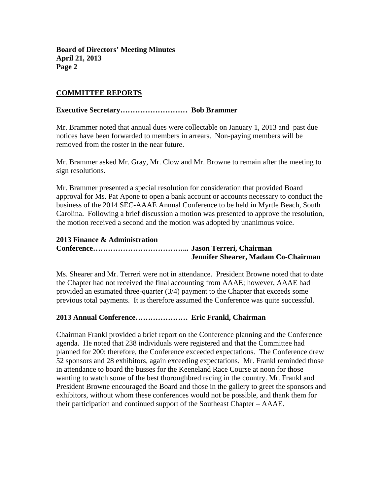## **COMMITTEE REPORTS**

#### **Executive Secretary……………………… Bob Brammer**

Mr. Brammer noted that annual dues were collectable on January 1, 2013 and past due notices have been forwarded to members in arrears. Non-paying members will be removed from the roster in the near future.

Mr. Brammer asked Mr. Gray, Mr. Clow and Mr. Browne to remain after the meeting to sign resolutions.

Mr. Brammer presented a special resolution for consideration that provided Board approval for Ms. Pat Apone to open a bank account or accounts necessary to conduct the business of the 2014 SEC-AAAE Annual Conference to be held in Myrtle Beach, South Carolina. Following a brief discussion a motion was presented to approve the resolution, the motion received a second and the motion was adopted by unanimous voice.

#### **2013 Finance & Administration**

**Conference………………………………... Jason Terreri, Chairman Jennifer Shearer, Madam Co-Chairman** 

Ms. Shearer and Mr. Terreri were not in attendance. President Browne noted that to date the Chapter had not received the final accounting from AAAE; however, AAAE had provided an estimated three-quarter (3/4) payment to the Chapter that exceeds some previous total payments. It is therefore assumed the Conference was quite successful.

#### **2013 Annual Conference………………… Eric Frankl, Chairman**

Chairman Frankl provided a brief report on the Conference planning and the Conference agenda. He noted that 238 individuals were registered and that the Committee had planned for 200; therefore, the Conference exceeded expectations. The Conference drew 52 sponsors and 28 exhibitors, again exceeding expectations. Mr. Frankl reminded those in attendance to board the busses for the Keeneland Race Course at noon for those wanting to watch some of the best thoroughbred racing in the country. Mr. Frankl and President Browne encouraged the Board and those in the gallery to greet the sponsors and exhibitors, without whom these conferences would not be possible, and thank them for their participation and continued support of the Southeast Chapter – AAAE.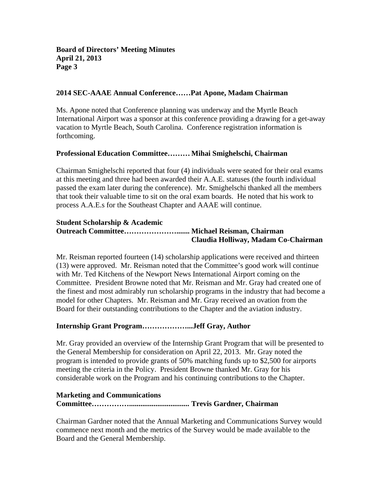## **2014 SEC-AAAE Annual Conference……Pat Apone, Madam Chairman**

Ms. Apone noted that Conference planning was underway and the Myrtle Beach International Airport was a sponsor at this conference providing a drawing for a get-away vacation to Myrtle Beach, South Carolina. Conference registration information is forthcoming.

#### **Professional Education Committee……… Mihai Smighelschi, Chairman**

Chairman Smighelschi reported that four (4) individuals were seated for their oral exams at this meeting and three had been awarded their A.A.E. statuses (the fourth individual passed the exam later during the conference). Mr. Smighelschi thanked all the members that took their valuable time to sit on the oral exam boards. He noted that his work to process A.A.E.s for the Southeast Chapter and AAAE will continue.

#### **Student Scholarship & Academic Outreach Committee…………………....... Michael Reisman, Chairman Claudia Holliway, Madam Co-Chairman**

Mr. Reisman reported fourteen (14) scholarship applications were received and thirteen (13) were approved. Mr. Reisman noted that the Committee's good work will continue with Mr. Ted Kitchens of the Newport News International Airport coming on the Committee. President Browne noted that Mr. Reisman and Mr. Gray had created one of the finest and most admirably run scholarship programs in the industry that had become a model for other Chapters. Mr. Reisman and Mr. Gray received an ovation from the Board for their outstanding contributions to the Chapter and the aviation industry.

#### **Internship Grant Program………………...Jeff Gray, Author**

Mr. Gray provided an overview of the Internship Grant Program that will be presented to the General Membership for consideration on April 22, 2013. Mr. Gray noted the program is intended to provide grants of 50% matching funds up to \$2,500 for airports meeting the criteria in the Policy. President Browne thanked Mr. Gray for his considerable work on the Program and his continuing contributions to the Chapter.

#### **Marketing and Communications**

**Committee……………................................ Trevis Gardner, Chairman** 

Chairman Gardner noted that the Annual Marketing and Communications Survey would commence next month and the metrics of the Survey would be made available to the Board and the General Membership.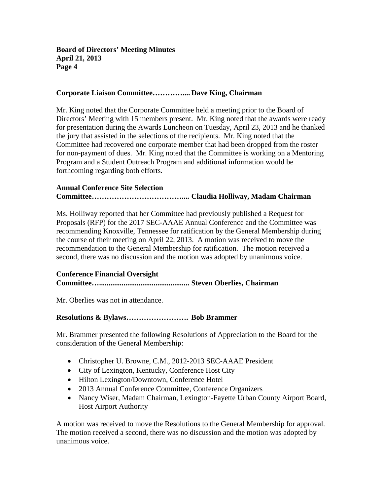#### **Corporate Liaison Committee………….... Dave King, Chairman**

Mr. King noted that the Corporate Committee held a meeting prior to the Board of Directors' Meeting with 15 members present. Mr. King noted that the awards were ready for presentation during the Awards Luncheon on Tuesday, April 23, 2013 and he thanked the jury that assisted in the selections of the recipients. Mr. King noted that the Committee had recovered one corporate member that had been dropped from the roster for non-payment of dues. Mr. King noted that the Committee is working on a Mentoring Program and a Student Outreach Program and additional information would be forthcoming regarding both efforts.

## **Annual Conference Site Selection Committee……………………………….... Claudia Holliway, Madam Chairman**

Ms. Holliway reported that her Committee had previously published a Request for Proposals (RFP) for the 2017 SEC-AAAE Annual Conference and the Committee was recommending Knoxville, Tennessee for ratification by the General Membership during the course of their meeting on April 22, 2013. A motion was received to move the recommendation to the General Membership for ratification. The motion received a second, there was no discussion and the motion was adopted by unanimous voice.

#### **Conference Financial Oversight**

# **Committee…................................................ Steven Oberlies, Chairman**

Mr. Oberlies was not in attendance.

## **Resolutions & Bylaws……………………. Bob Brammer**

Mr. Brammer presented the following Resolutions of Appreciation to the Board for the consideration of the General Membership:

- Christopher U. Browne, C.M., 2012-2013 SEC-AAAE President
- City of Lexington, Kentucky, Conference Host City
- Hilton Lexington/Downtown, Conference Hotel
- 2013 Annual Conference Committee, Conference Organizers
- Nancy Wiser, Madam Chairman, Lexington-Fayette Urban County Airport Board, Host Airport Authority

A motion was received to move the Resolutions to the General Membership for approval. The motion received a second, there was no discussion and the motion was adopted by unanimous voice.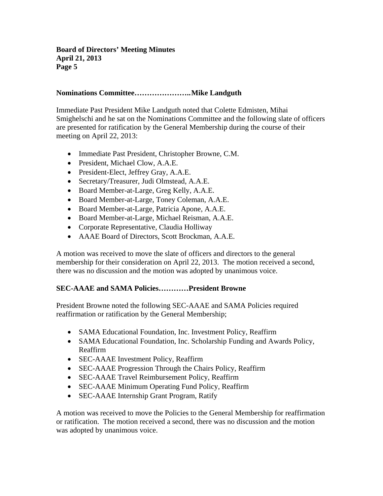## **Nominations Committee………………….. Mike Landguth**

Immediate Past President Mike Landguth noted that Colette Edmisten, Mihai Smighelschi and he sat on the Nominations Committee and the following slate of officers are presented for ratification by the General Membership during the course of their meeting on April 22, 2013:

- Immediate Past President, Christopher Browne, C.M.
- President, Michael Clow, A.A.E.
- President-Elect, Jeffrey Gray, A.A.E.
- Secretary/Treasurer, Judi Olmstead, A.A.E.
- Board Member-at-Large, Greg Kelly, A.A.E.
- Board Member-at-Large, Toney Coleman, A.A.E.
- Board Member-at-Large, Patricia Apone, A.A.E.
- Board Member-at-Large, Michael Reisman, A.A.E.
- Corporate Representative, Claudia Holliway
- AAAE Board of Directors, Scott Brockman, A.A.E.

A motion was received to move the slate of officers and directors to the general membership for their consideration on April 22, 2013. The motion received a second, there was no discussion and the motion was adopted by unanimous voice.

#### **SEC-AAAE and SAMA Policies…………President Browne**

President Browne noted the following SEC-AAAE and SAMA Policies required reaffirmation or ratification by the General Membership;

- SAMA Educational Foundation, Inc. Investment Policy, Reaffirm
- SAMA Educational Foundation, Inc. Scholarship Funding and Awards Policy, Reaffirm
- SEC-AAAE Investment Policy, Reaffirm
- SEC-AAAE Progression Through the Chairs Policy, Reaffirm
- SEC-AAAE Travel Reimbursement Policy, Reaffirm
- SEC-AAAE Minimum Operating Fund Policy, Reaffirm
- SEC-AAAE Internship Grant Program, Ratify

A motion was received to move the Policies to the General Membership for reaffirmation or ratification. The motion received a second, there was no discussion and the motion was adopted by unanimous voice.